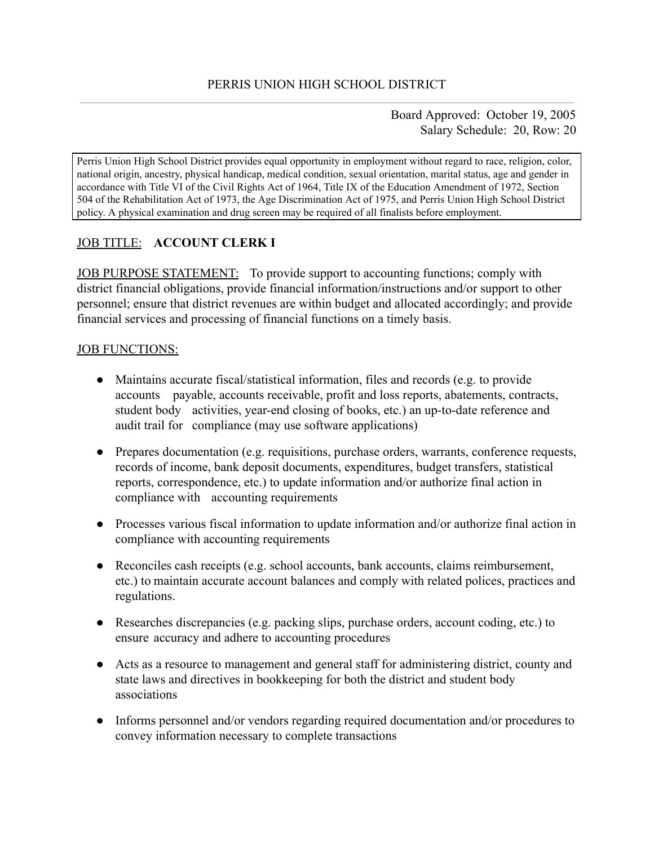Board Approved: October 19, 2005 Salary Schedule: 20, Row: 20

Perris Union High School District provides equal opportunity in employment without regard to race, religion, color, national origin, ancestry, physical handicap, medical condition, sexual orientation, marital status, age and gender in accordance with Title VI of the Civil Rights Act of 1964, Title IX of the Education Amendment of 1972, Section 504 of the Rehabilitation Act of 1973, the Age Discrimination Act of 1975, and Perris Union High School District policy. A physical examination and drug screen may be required of all finalists before employment.

# JOB TITLE: **ACCOUNT CLERK I**

JOB PURPOSE STATEMENT: To provide support to accounting functions; comply with district financial obligations, provide financial information/instructions and/or support to other personnel; ensure that district revenues are within budget and allocated accordingly; and provide financial services and processing of financial functions on a timely basis.

#### JOB FUNCTIONS:

- Maintains accurate fiscal/statistical information, files and records (e.g. to provide accounts payable, accounts receivable, profit and loss reports, abatements, contracts, student body activities, year-end closing of books, etc.) an up-to-date reference and audit trail for compliance (may use software applications)
- Prepares documentation (e.g. requisitions, purchase orders, warrants, conference requests, records of income, bank deposit documents, expenditures, budget transfers, statistical reports, correspondence, etc.) to update information and/or authorize final action in compliance with accounting requirements
- Processes various fiscal information to update information and/or authorize final action in compliance with accounting requirements
- Reconciles cash receipts (e.g. school accounts, bank accounts, claims reimbursement, etc.) to maintain accurate account balances and comply with related polices, practices and regulations.
- Researches discrepancies (e.g. packing slips, purchase orders, account coding, etc.) to ensure accuracy and adhere to accounting procedures
- Acts as a resource to management and general staff for administering district, county and state laws and directives in bookkeeping for both the district and student body associations
- Informs personnel and/or vendors regarding required documentation and/or procedures to convey information necessary to complete transactions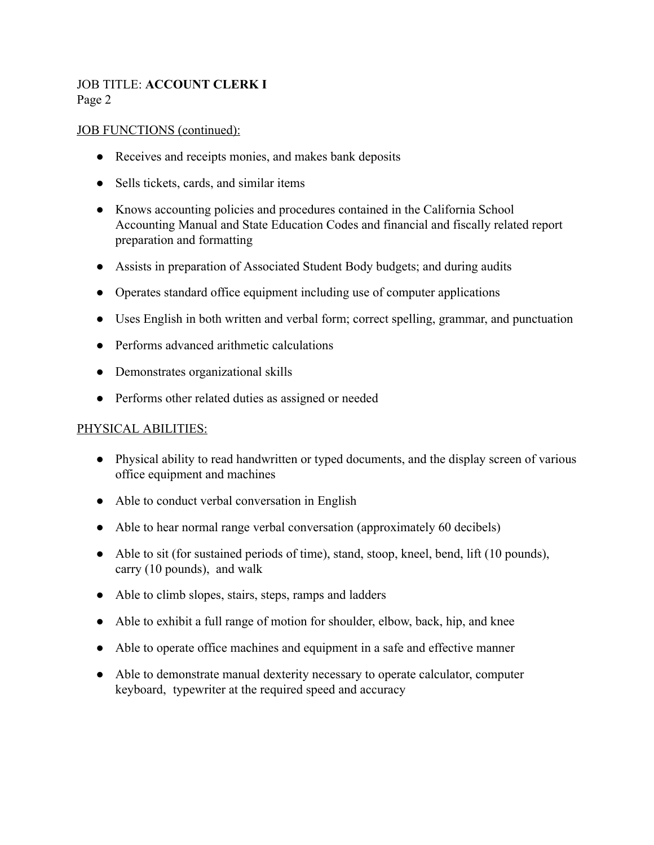# JOB TITLE: **ACCOUNT CLERK I** Page 2

#### JOB FUNCTIONS (continued):

- Receives and receipts monies, and makes bank deposits
- Sells tickets, cards, and similar items
- Knows accounting policies and procedures contained in the California School Accounting Manual and State Education Codes and financial and fiscally related report preparation and formatting
- Assists in preparation of Associated Student Body budgets; and during audits
- Operates standard office equipment including use of computer applications
- Uses English in both written and verbal form; correct spelling, grammar, and punctuation
- Performs advanced arithmetic calculations
- Demonstrates organizational skills
- Performs other related duties as assigned or needed

### PHYSICAL ABILITIES:

- Physical ability to read handwritten or typed documents, and the display screen of various office equipment and machines
- Able to conduct verbal conversation in English
- Able to hear normal range verbal conversation (approximately 60 decibels)
- Able to sit (for sustained periods of time), stand, stoop, kneel, bend, lift (10 pounds), carry (10 pounds), and walk
- Able to climb slopes, stairs, steps, ramps and ladders
- Able to exhibit a full range of motion for shoulder, elbow, back, hip, and knee
- Able to operate office machines and equipment in a safe and effective manner
- Able to demonstrate manual dexterity necessary to operate calculator, computer keyboard, typewriter at the required speed and accuracy